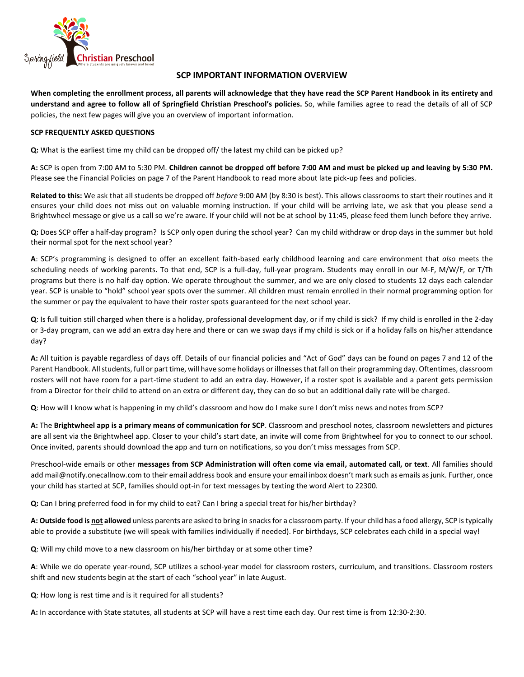

# **SCP IMPORTANT INFORMATION OVERVIEW**

**When completing the enrollment process, all parents will acknowledge that they have read the SCP Parent Handbook in its entirety and understand and agree to follow all of Springfield Christian Preschool's policies.** So, while families agree to read the details of all of SCP policies, the next few pages will give you an overview of important information.

#### **SCP FREQUENTLY ASKED QUESTIONS**

**Q:** What is the earliest time my child can be dropped off/ the latest my child can be picked up?

**A:** SCP is open from 7:00 AM to 5:30 PM. **Children cannot be dropped off before 7:00 AM and must be picked up and leaving by 5:30 PM.** Please see the Financial Policies on page 7 of the Parent Handbook to read more about late pick-up fees and policies.

**Related to this:** We ask that all students be dropped off *before* 9:00 AM (by 8:30 is best). This allows classrooms to start their routines and it ensures your child does not miss out on valuable morning instruction. If your child will be arriving late, we ask that you please send a Brightwheel message or give us a call so we're aware. If your child will not be at school by 11:45, please feed them lunch before they arrive.

**Q:** Does SCP offer a half-day program? Is SCP only open during the school year? Can my child withdraw or drop days in the summer but hold their normal spot for the next school year?

**A**: SCP's programming is designed to offer an excellent faith-based early childhood learning and care environment that *also* meets the scheduling needs of working parents. To that end, SCP is a full-day, full-year program. Students may enroll in our M-F, M/W/F, or T/Th programs but there is no half-day option. We operate throughout the summer, and we are only closed to students 12 days each calendar year. SCP is unable to "hold" school year spots over the summer. All children must remain enrolled in their normal programming option for the summer or pay the equivalent to have their roster spots guaranteed for the next school year.

**Q**: Is full tuition still charged when there is a holiday, professional development day, or if my child is sick? If my child is enrolled in the 2-day or 3-day program, can we add an extra day here and there or can we swap days if my child is sick or if a holiday falls on his/her attendance day?

**A:** All tuition is payable regardless of days off. Details of our financial policies and "Act of God" days can be found on pages 7 and 12 of the Parent Handbook. All students, full or part time, will have some holidays or illnesses that fall on their programming day. Oftentimes, classroom rosters will not have room for a part-time student to add an extra day. However, if a roster spot is available and a parent gets permission from a Director for their child to attend on an extra or different day, they can do so but an additional daily rate will be charged.

**Q**: How will I know what is happening in my child's classroom and how do I make sure I don't miss news and notes from SCP?

**A:** The **Brightwheel app is a primary means of communication for SCP**. Classroom and preschool notes, classroom newsletters and pictures are all sent via the Brightwheel app. Closer to your child's start date, an invite will come from Brightwheel for you to connect to our school. Once invited, parents should download the app and turn on notifications, so you don't miss messages from SCP.

Preschool-wide emails or other **messages from SCP Administration will often come via email, automated call, or text**. All families should ad[d mail@notify.onecallnow.com](mailto:mail@notify.onecallnow.com) to their email address book and ensure your email inbox doesn't mark such as emails as junk. Further, once your child has started at SCP, families should opt-in for text messages by texting the word Alert to 22300.

**Q:** Can I bring preferred food in for my child to eat? Can I bring a special treat for his/her birthday?

**A: Outside food is not allowed** unless parents are asked to bring in snacks for a classroom party. If your child has a food allergy, SCP is typically able to provide a substitute (we will speak with families individually if needed). For birthdays, SCP celebrates each child in a special way!

**Q**: Will my child move to a new classroom on his/her birthday or at some other time?

**A**: While we do operate year-round, SCP utilizes a school-year model for classroom rosters, curriculum, and transitions. Classroom rosters shift and new students begin at the start of each "school year" in late August.

**Q**: How long is rest time and is it required for all students?

**A:** In accordance with State statutes, all students at SCP will have a rest time each day. Our rest time is from 12:30-2:30.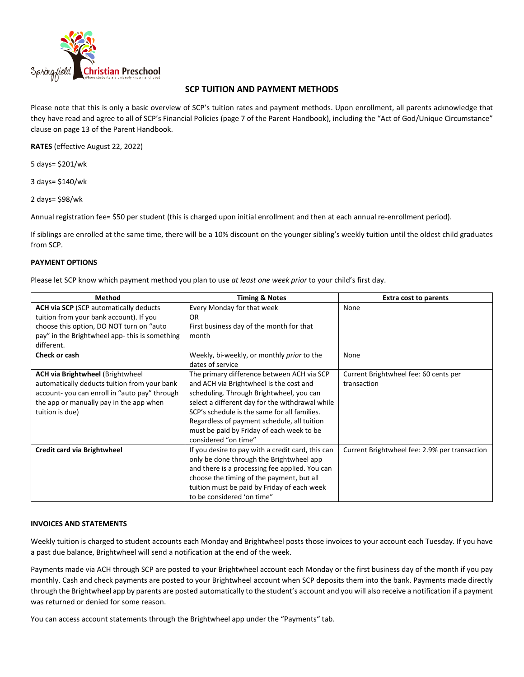

# **SCP TUITION AND PAYMENT METHODS**

Please note that this is only a basic overview of SCP's tuition rates and payment methods. Upon enrollment, all parents acknowledge that they have read and agree to all of SCP's Financial Policies (page 7 of the Parent Handbook), including the "Act of God/Unique Circumstance" clause on page 13 of the Parent Handbook.

**RATES** (effective August 22, 2022)

5 days= \$201/wk

3 days= \$140/wk

2 days= \$98/wk

Annual registration fee= \$50 per student (this is charged upon initial enrollment and then at each annual re-enrollment period).

If siblings are enrolled at the same time, there will be a 10% discount on the younger sibling's weekly tuition until the oldest child graduates from SCP.

## **PAYMENT OPTIONS**

Please let SCP know which payment method you plan to use *at least one week prior* to your child's first day.

| <b>Method</b>                                 | <b>Timing &amp; Notes</b>                         | <b>Extra cost to parents</b>                  |
|-----------------------------------------------|---------------------------------------------------|-----------------------------------------------|
| <b>ACH via SCP</b> (SCP automatically deducts | Every Monday for that week                        | None                                          |
| tuition from your bank account). If you       | <b>OR</b>                                         |                                               |
| choose this option, DO NOT turn on "auto      | First business day of the month for that          |                                               |
| pay" in the Brightwheel app-this is something | month                                             |                                               |
| different.                                    |                                                   |                                               |
| Check or cash                                 | Weekly, bi-weekly, or monthly prior to the        | None                                          |
|                                               | dates of service                                  |                                               |
| <b>ACH via Brightwheel (Brightwheel)</b>      | The primary difference between ACH via SCP        | Current Brightwheel fee: 60 cents per         |
| automatically deducts tuition from your bank  | and ACH via Brightwheel is the cost and           | transaction                                   |
| account-you can enroll in "auto pay" through  | scheduling. Through Brightwheel, you can          |                                               |
| the app or manually pay in the app when       | select a different day for the withdrawal while   |                                               |
| tuition is due)                               | SCP's schedule is the same for all families.      |                                               |
|                                               | Regardless of payment schedule, all tuition       |                                               |
|                                               | must be paid by Friday of each week to be         |                                               |
|                                               | considered "on time"                              |                                               |
| Credit card via Brightwheel                   | If you desire to pay with a credit card, this can | Current Brightwheel fee: 2.9% per transaction |
|                                               | only be done through the Brightwheel app          |                                               |
|                                               | and there is a processing fee applied. You can    |                                               |
|                                               | choose the timing of the payment, but all         |                                               |
|                                               | tuition must be paid by Friday of each week       |                                               |
|                                               | to be considered 'on time"                        |                                               |

#### **INVOICES AND STATEMENTS**

Weekly tuition is charged to student accounts each Monday and Brightwheel posts those invoices to your account each Tuesday. If you have a past due balance, Brightwheel will send a notification at the end of the week.

Payments made via ACH through SCP are posted to your Brightwheel account each Monday or the first business day of the month if you pay monthly. Cash and check payments are posted to your Brightwheel account when SCP deposits them into the bank. Payments made directly through the Brightwheel app by parents are posted automatically to the student's account and you will also receive a notification if a payment was returned or denied for some reason.

You can access account statements through the Brightwheel app under the "Payments" tab.